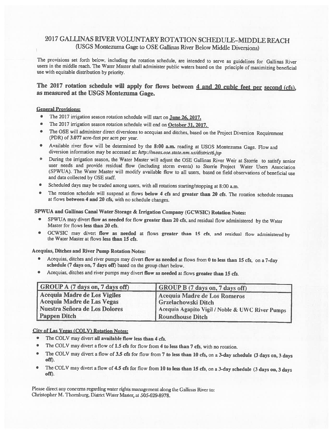## 2017 GALLINAS RWER VOLUNTARY ROTATION SCHEDULE-MIDDLE REACH (USGS Montezuma Gage to OSE Gaflinas River Below Middle Diversions)

The provisions set forth below, including the rotation schedule, are intended to serve as guidelines for Gallinas River users in the middle reach. The Water Master shall administer public waters based on the principle of maximizing beneficial use with equitable distribution by priority.

## The 2017 rotation schedule will apply for flows between 4 and 20 cubic feet per second (cfs), as measured at the USGS Montezuma Gage.

## General Provisions:

- The 2017 irrigation season rotation schedule will start on **June 26, 2017**.
- The 2017 irrigation season rotation schedule will end on October 31, 2017.
- •The OSE will administer direct diversions to acequias and ditches, based on the Project Diversion Requirement (PDR) of 3.077 acre-feet per acre per year.
- Available river flow will be determined by the 8:00 a.m. reading at USGS Montezuma Gage. Flow and diversion information may be accessed at: http://meas.ose.state.nm.us/district6.jsp
- During the irrigation season, the Water Master will adjust the OSE Gallinas River Weir at Storrie to satisfy senior user needs and provide residual flow (including storm events) to Storrie Project Water Users Association (SPWUA). The Water Master will modify available flow to all users, based on field observations of beneficial use and data collected by OSE staff.
- Scheduled days may be traded among users, with all rotations starting/stopping at 8:00 a.m.
- • The rotation schedule will suspend at flows below <sup>4</sup> cfs and greater than <sup>20</sup> cfs. The rotation schedule resumes at flows between <sup>4</sup> and <sup>20</sup> cfs, with no schedule changes.

SPWUA and Gallinas Canal Water Storage & Irrigation Company (GCWSIC) Rotation Notes:

- SPWUA may divert flow as needed for flow greater than <sup>20</sup> cfs, and residual flow administered by the Water Master for flows less than <sup>20</sup> cfs.
- GCWSIC may divert flow as needed at flows greater than <sup>15</sup> cfs, and residual flow administered by the Water Master at flows less than <sup>15</sup> cfs.

Acequias, Ditches and River Pump Rotation Notes:

- •Acequias, ditches and river pumps may divert flow as needed at flows from <sup>0</sup> to less than <sup>15</sup> cfs, on <sup>a</sup> 7-day schedule (7 days on, <sup>7</sup> days off) based on the group chart below.
- •Acequias, ditches and river pumps may divert flow as needed at flows greater than <sup>15</sup> cfs.

| <b>GROUP A (7 days on, 7 days off)</b>                     | <b>GROUP B</b> (7 days on, 7 days off)              |
|------------------------------------------------------------|-----------------------------------------------------|
| Acequia Madre de Los Vigiles<br>Acequia Madre de Las Vegas | Acequia Madre de Los Romeros<br>Grzelachowski Ditch |
| Nuestra Señora de Los Dolores                              | Acequia Agapito Vigil / Noble & UWC River Pumps     |
| <b>Pappen Ditch</b>                                        | <b>Roundhouse Ditch</b>                             |

## City of Las Vegas (COLV) Rotation Notes:

- •The COLV may divert all available flow less than 4 cfs.
- The COLV may divert a flow of 1.5 cfs for flow from 4 to less than 7 cfs, with no rotation.
- The COLV may divert <sup>a</sup> flow of 3.5 cfs for flow from <sup>7</sup> to less than <sup>10</sup> cfs, on <sup>a</sup> 3-day schedule (3 days on, <sup>3</sup> days off).
- •The COLV may divert <sup>a</sup> flow of 4.5 cfs for flow from <sup>10</sup> to less than <sup>15</sup> cfs, on <sup>a</sup> 3-day schedule (3 days on, <sup>3</sup> days off).

Please direct any concerns regarding water rights management along the Gallinas River to: Christopher M. Thornburg, District Water Master, at 505-629-8978.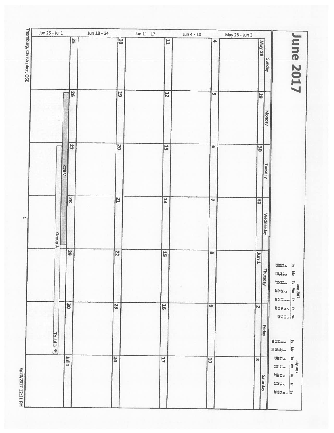| Jun 25 - Jul 1        | S                      | Jun 18 - 24<br>18       | Jun 11 - 17<br>11         | $Jun 4 - 10$<br>$\blacktriangleright$ | May 28 - Jun 3<br>May 28<br>Sunday | mne 2017                                                                                                                                                                                                    |
|-----------------------|------------------------|-------------------------|---------------------------|---------------------------------------|------------------------------------|-------------------------------------------------------------------------------------------------------------------------------------------------------------------------------------------------------------|
|                       | 92                     | $\overline{61}$         | $\overline{z}$            | U1                                    | 52<br>Monday                       |                                                                                                                                                                                                             |
|                       | $\overline{z}$<br>COLV | $\overline{\mathbf{c}}$ | $\overline{\overline{u}}$ | $\sigma$                              | <b>90</b><br>Tuesday               |                                                                                                                                                                                                             |
|                       | <b>28</b>              | $\overline{z}$          | $\mathbf{H}$              | $\overline{\phantom{0}}$              | 31<br><b>Wednesday</b>             |                                                                                                                                                                                                             |
| Group A               | 52                     | $\overline{\mathbf{z}}$ | $\overline{5}$            | $\infty$                              | L nut<br>$\equiv$<br>hursday       | $4120$<br>$[ \, \underline{\omega} \,$<br>$\frac{1}{2}$<br>$\vert \xi$<br>June 2017<br>Tu We Th<br>$\frac{6}{1}$<br>$\frac{7}{1}$<br>$\frac{1}{20}$<br>$\frac{1}{20}$<br>$\frac{23}{20}$<br>$\frac{23}{20}$ |
| To Jul 3 <sup>#</sup> | 50                     | 23                      | $\overline{56}$           | G                                     | N<br>Friday                        | <b>FIREMEN</b><br>$R$ $\approx$ $\approx$ $\approx$<br>2500<br>$ \mathcal{C}$                                                                                                                               |
|                       | I Inf                  | $\boldsymbol{z}$        | 11                        | $\overline{\mathbf{5}}$               | $\omega$<br>Saturday               | $\vert \bar{\xi} \vert$<br><b>22244</b><br>$\frac{175}{20}$<br>Tu we 1<br>555<br>व<br>38 <sub>th</sub><br>$-248$<br>$\vert$ $\bar{\mathrm{v}}$<br>$\frac{1}{2}$                                             |

ب<br>ص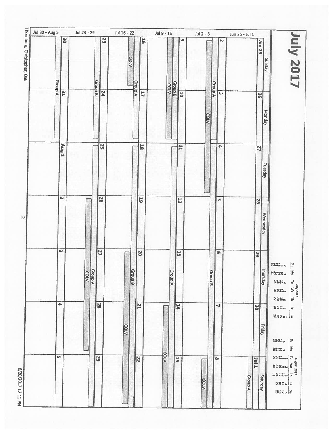| Jul 30 - Aug 5             |           | Jul 23 - 29 |                 | Jul 16 - 22    |                         | Jul 9 - 15     |                         |                | Jul 2 - 8      |                          | Jun 25 - Jul 1 |                |                  |                                                                                                                                                                                                                                                                                                                                                                                                                                                                |
|----------------------------|-----------|-------------|-----------------|----------------|-------------------------|----------------|-------------------------|----------------|----------------|--------------------------|----------------|----------------|------------------|----------------------------------------------------------------------------------------------------------------------------------------------------------------------------------------------------------------------------------------------------------------------------------------------------------------------------------------------------------------------------------------------------------------------------------------------------------------|
| Thomburg, Christopher, OSE | <b>SO</b> |             | 23              | <b>COLV</b>    | 5 <sup>2</sup>          |                |                         | $\bullet$      |                | $\mathbf{N}$             |                |                | Jun 25<br>Sunday | <b>ZOZ And</b>                                                                                                                                                                                                                                                                                                                                                                                                                                                 |
| <b>Group A</b>             | <b>EE</b> | Group B     | 74              | <b>Group A</b> | $\overline{11}$         | coty           | Group<br>B              | $\overline{5}$ | <b>Group A</b> | $\overline{\mathbf{w}}$  |                | 92             |                  |                                                                                                                                                                                                                                                                                                                                                                                                                                                                |
|                            |           |             |                 |                |                         |                |                         |                | COLV           |                          |                |                | Monday           |                                                                                                                                                                                                                                                                                                                                                                                                                                                                |
|                            | T Sny     |             | S               |                | 50                      |                |                         | H              |                | $\blacktriangle$         |                | $\overline{1}$ |                  |                                                                                                                                                                                                                                                                                                                                                                                                                                                                |
|                            |           |             |                 |                |                         |                |                         |                |                |                          |                |                | Tuesday          |                                                                                                                                                                                                                                                                                                                                                                                                                                                                |
|                            | N         |             | $\overline{5}$  |                | $\overline{5}$          |                | $\overline{\mathbf{z}}$ |                |                | <b>U1</b>                |                | 82             |                  |                                                                                                                                                                                                                                                                                                                                                                                                                                                                |
|                            |           |             |                 |                |                         |                |                         |                |                |                          |                |                | Wednesday        |                                                                                                                                                                                                                                                                                                                                                                                                                                                                |
|                            | $\omega$  |             | <b>ZZ</b>       |                | <b>DZ</b>               |                | $\overline{\mathbf{u}}$ |                |                | G                        |                | 52             |                  |                                                                                                                                                                                                                                                                                                                                                                                                                                                                |
|                            |           | Group A     |                 | Group B        |                         | <b>Group A</b> |                         |                | Graup B        |                          |                |                | Thursday         | <b>SN50N</b><br>$\mathbf{g}$<br>$\sum_{i=1}^{n}$<br><b>EXCH.</b><br>$\vec{e}$<br>$\frac{175}{20}$<br>u<br>v 2017<br>TIOS Yul<br>158                                                                                                                                                                                                                                                                                                                            |
|                            | 晶         |             | <b>22</b>       |                | $\overline{\mathbf{z}}$ |                | $\overline{14}$         |                |                | $\overline{\phantom{0}}$ |                | 9g             |                  | $\rightleftarrows$<br><b>2859</b><br>$-7128$<br>$\overline{z}^i$<br><b>BNH</b> <sub>ma</sub> H <sub>M</sub>                                                                                                                                                                                                                                                                                                                                                    |
|                            |           |             |                 | COLV           |                         |                |                         |                |                |                          |                |                | <b>Friday</b>    | 38m <sub>o</sub><br>$\frac{1}{2}$                                                                                                                                                                                                                                                                                                                                                                                                                              |
|                            | <b>un</b> |             | $\overline{59}$ |                | $\overline{\mathbf{z}}$ | COLV           | 52                      |                |                | œ                        |                | <b>TIME</b>    |                  | $\frac{1}{3}$<br>$-248$<br>$\begin{array}{c c c c} \hline \text{August 2017} & \text{A} & \text{B} & \text{B} \\ \hline \text{I} & \text{We} & \text{I} & \text{I} \\ \hline \text{I} & \text{I} & \text{I} & \text{I} \\ \hline \text{I} & \text{I} & \text{I} & \text{I} \\ \hline \text{I} & \text{I} & \text{I} & \text{I} \\ \hline \text{I} & \text{I} & \text{I} & \text{I} \\ \hline \text{I} & \text{I} & \text{I} & \text{I} \\ \hline \text{I} & \$ |
|                            |           |             |                 |                |                         |                |                         |                | COLV           |                          | <b>Group A</b> |                | Saturday         | $E$ $\approx$ $E$ $\approx$ $E$<br>$\frac{1}{4}$ 4 HzM                                                                                                                                                                                                                                                                                                                                                                                                         |
|                            |           |             |                 |                |                         |                |                         |                |                |                          |                |                |                  | aludaa                                                                                                                                                                                                                                                                                                                                                                                                                                                         |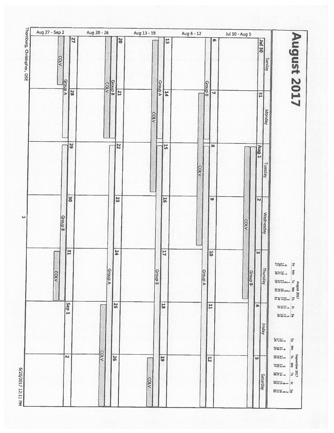| Aug 27 - Sep 2                                      |                      | Aug 20 - 26                   | Aug 13 - 19          |         |                                     | Aug 6 - 12     |                                      | Jul 30 - Aug 5 |                            |                                                                                                                           |
|-----------------------------------------------------|----------------------|-------------------------------|----------------------|---------|-------------------------------------|----------------|--------------------------------------|----------------|----------------------------|---------------------------------------------------------------------------------------------------------------------------|
| homburg, Christopher, OSE<br>COLV<br><b>Group A</b> | 27<br>$\frac{1}{28}$ | <b>Group B</b><br><b>COLV</b> | 20<br>$\overline{z}$ | Group A | $\overline{\omega}$<br>$\mathbf{F}$ | <b>Group</b>   | <b>O</b><br>$\overline{\phantom{0}}$ |                | <b>OE INC</b><br><b>TE</b> | August 2017<br>Sunday                                                                                                     |
|                                                     | 52                   | 22                            | COLV                 |         | $\frac{1}{5}$                       | <b>COLV</b>    | $\overline{\text{co}}$               |                | Aug 1                      | Monday<br>Tuesday                                                                                                         |
| Group B                                             | <b>96</b>            | 23                            |                      |         | $\overline{5}$                      |                | G                                    | <b>COLV</b>    | N<br>Wednesday             |                                                                                                                           |
| COLV                                                | $\overline{2}$       | $\overline{54}$<br>V droug    |                      | Group B | $\overline{11}$                     | <b>Group A</b> | $\boxed{5}$                          | Group B        | ω                          | $\frac{1}{25}$<br>$\mathbf{g}$<br>Thursday<br>$\frac{8}{10}$<br>225                                                       |
|                                                     | Sep <sub>1</sub>     | 52                            |                      |         | 18                                  |                | H                                    | ÷              | Friday                     | $F = 1222$<br><b>Station</b><br>$\mathbb{E}$<br><b>275m</b><br><b>No</b><br>$\frac{1120}{200}$                            |
|                                                     | N                    | COLV<br>$\overline{8}$        | <b>COLV</b>          |         | $\overline{5}$                      |                | $\overline{5}$                       | <b>U1</b>      | Saturday                   | September 2017<br>Tu We Th<br><b>NHH</b> <sub>w</sub><br><b>2850</b><br>$-248$<br>$\frac{1}{4}$ 4 m $75\%$<br><b>SHOW</b> |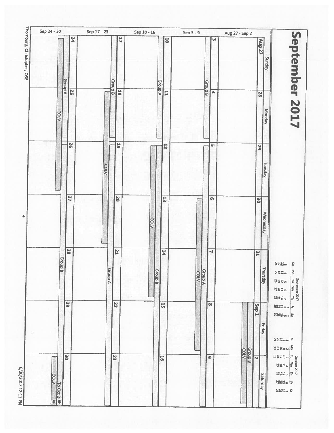|                        |                 | <b>bZ</b>               |             |                | 41             |                | 5                       |         |                      | ω                           |                         | Aug 27                              | Sunday                                                                                              |
|------------------------|-----------------|-------------------------|-------------|----------------|----------------|----------------|-------------------------|---------|----------------------|-----------------------------|-------------------------|-------------------------------------|-----------------------------------------------------------------------------------------------------|
| <b>COLV</b>            | <b>Group A</b>  | $\overline{\mathbf{S}}$ |             | Group B        | $\overline{5}$ | <b>Group A</b> | $\overline{\mathbf{H}}$ | Group B |                      | $\overline{\blacktriangle}$ |                         | <b>N</b>                            | September 2017<br>Monday                                                                            |
|                        |                 | $\overline{9}$          | <b>COLV</b> |                | 55             |                | $\overline{5}$          |         |                      | U1                          |                         | 52<br>Tuesday                       |                                                                                                     |
|                        |                 | 27                      |             |                | <b>DZ</b>      | <b>COLV</b>    | 13                      |         |                      | $\bullet$                   |                         | 30<br>Wednesday                     |                                                                                                     |
| Group B                |                 | 82                      |             | <b>Group A</b> | 12             | Group B        | 14                      | Group A |                      | ч                           |                         | $\mathbb{Z}$<br>ᆗ<br><b>Hursday</b> | 252<br>12<br>$\frac{8}{10}$<br>$\frac{175}{20}$<br>September 2017<br>Tu We Th<br><b>NHH</b><br>2850 |
|                        | 62              |                         |             | 22             |                |                | $\overline{u}$          |         | <b>CO</b>            |                             | Sep <sub>1</sub>        | Friday                              | $-248$<br>F Hendag<br><b>SN50N S</b><br>일 - 8523                                                    |
| $\frac{100012}{10001}$ | $\overline{30}$ |                         |             | 23             |                |                | $\overline{56}$         |         | $\overline{\bullet}$ | Group B<br>corv             | $\overline{\mathbf{N}}$ | Saturday                            | $rac{2}{5}$ ua SüB<br><b>NBH<sub>m</sub></b><br>$\frac{1}{2}$                                       |